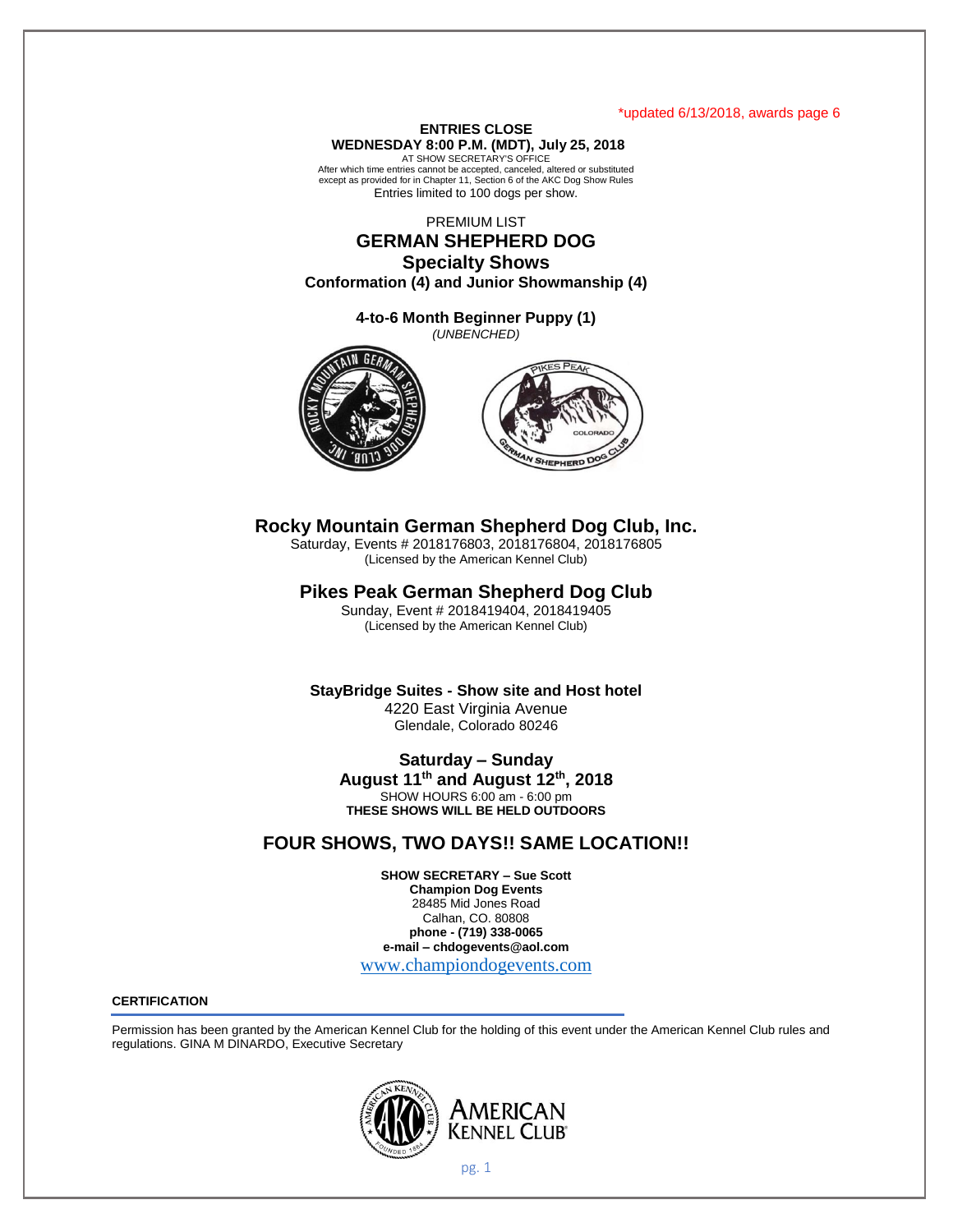\*updated 6/13/2018, awards page 6

# **ENTRIES CLOSE WEDNESDAY 8:00 P.M. (MDT), July 25, 2018**

AT SHOW SECRETARY'S OFFICE After which time entries cannot be accepted, canceled, altered or substituted except as provided for in Chapter 11, Section 6 of the AKC Dog Show Rules Entries limited to 100 dogs per show.

PREMIUM LIST

# **GERMAN SHEPHERD DOG**

**Specialty Shows** 

**Conformation (4) and Junior Showmanship (4)**

**4-to-6 Month Beginner Puppy (1)** *(UNBENCHED)*





# **Rocky Mountain German Shepherd Dog Club, Inc.**

Saturday, Events # 2018176803, 2018176804, 2018176805 (Licensed by the American Kennel Club)

# **Pikes Peak German Shepherd Dog Club**

Sunday, Event # 2018419404, 2018419405 (Licensed by the American Kennel Club)

**StayBridge Suites - Show site and Host hotel** 4220 East Virginia Avenue Glendale, Colorado 80246

**Saturday – Sunday August 11 th and August 12 th, 2018** SHOW HOURS 6:00 am - 6:00 pm **THESE SHOWS WILL BE HELD OUTDOORS**

# **FOUR SHOWS, TWO DAYS!! SAME LOCATION!!**

**SHOW SECRETARY – Sue Scott Champion Dog Events** 28485 Mid Jones Road Calhan, CO. 80808 **phone - (719) 338-0065 e-mail – chdogevents@aol.com** [www.championdogevents.com](http://www.championdogevents.com/)

# **CERTIFICATION**

Permission has been granted by the American Kennel Club for the holding of this event under the American Kennel Club rules and regulations. GINA M DINARDO, Executive Secretary

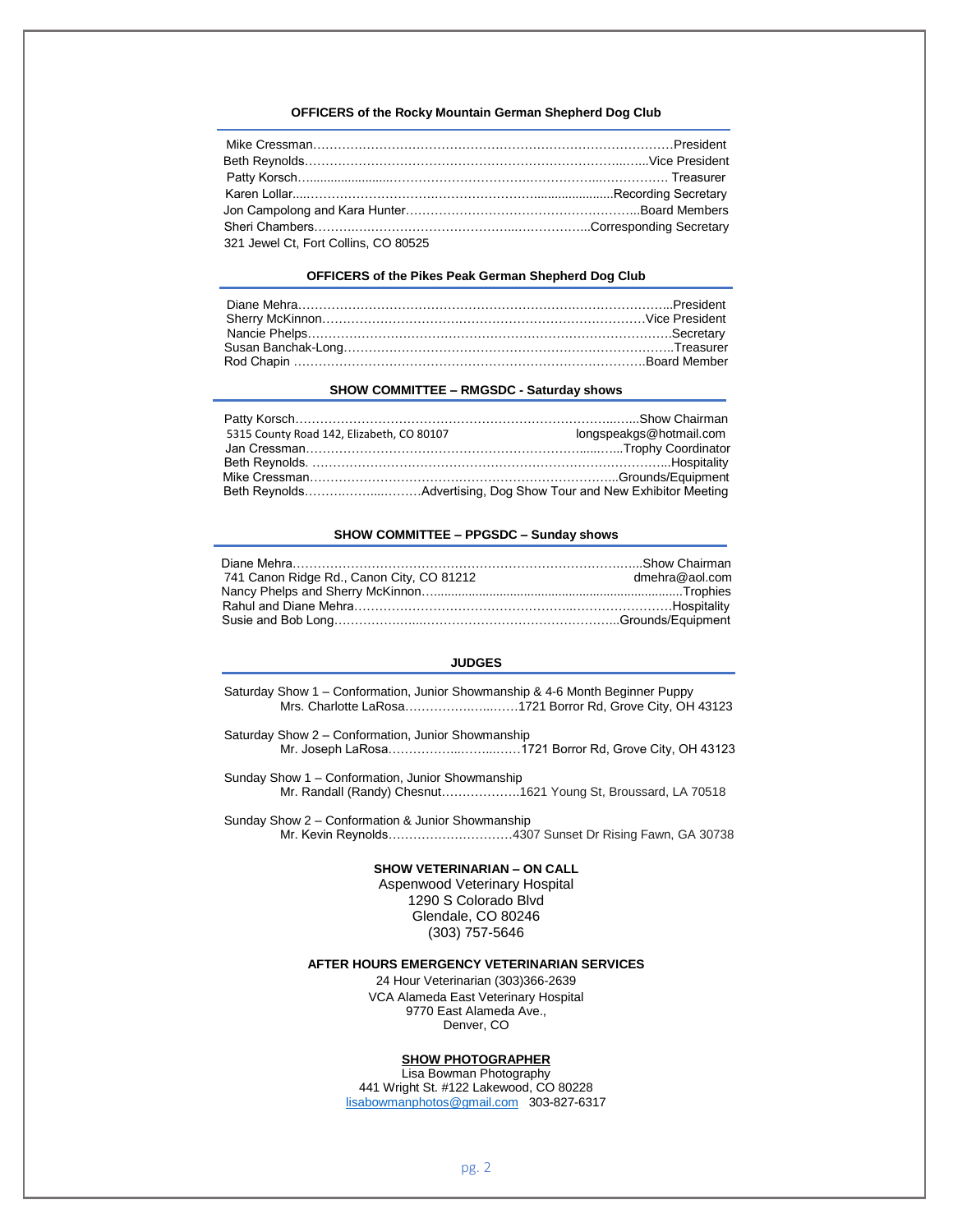### **OFFICERS of the Rocky Mountain German Shepherd Dog Club**

| 321 Jewel Ct. Fort Collins, CO 80525 |  |
|--------------------------------------|--|

#### **OFFICERS of the Pikes Peak German Shepherd Dog Club**

#### **SHOW COMMITTEE – RMGSDC - Saturday shows**

| 5315 County Road 142, Elizabeth, CO 80107 | longspeakgs@hotmail.com                                           |
|-------------------------------------------|-------------------------------------------------------------------|
|                                           |                                                                   |
|                                           |                                                                   |
|                                           |                                                                   |
|                                           | Beth ReynoldsAdvertising, Dog Show Tour and New Exhibitor Meeting |

#### **SHOW COMMITTEE – PPGSDC – Sunday shows**

| 741 Canon Ridge Rd., Canon City, CO 81212 | dmehra@aol.com |
|-------------------------------------------|----------------|
|                                           |                |
|                                           |                |
|                                           |                |

#### **JUDGES**

Saturday Show 1 – Conformation, Junior Showmanship & 4-6 Month Beginner Puppy Mrs. Charlotte LaRosa…………….…...……1721 Borror Rd, Grove City, OH 43123

Saturday Show 2 – Conformation, Junior Showmanship Mr. Joseph LaRosa……………...……...……1721 Borror Rd, Grove City, OH 43123

Sunday Show 1 – Conformation, Junior Showmanship Mr. Randall (Randy) Chesnut……………….1621 Young St, Broussard, LA 70518

Sunday Show 2 – Conformation & Junior Showmanship Mr. Kevin Reynolds…………………………4307 Sunset Dr Rising Fawn, GA 30738

> **SHOW VETERINARIAN – ON CALL** Aspenwood Veterinary Hospital 1290 S Colorado Blvd Glendale, CO 80246 (303) 757-5646

#### **AFTER HOURS EMERGENCY VETERINARIAN SERVICES**

24 Hour Veterinarian (303)366-2639 VCA Alameda East Veterinary Hospital 9770 East Alameda Ave., Denver, CO

### **SHOW PHOTOGRAPHER**

Lisa Bowman Photography 441 Wright St. #122 Lakewood, CO 80228 [lisabowmanphotos@gmail.com](mailto:lisabowmanphotos@gmail.com) 303-827-6317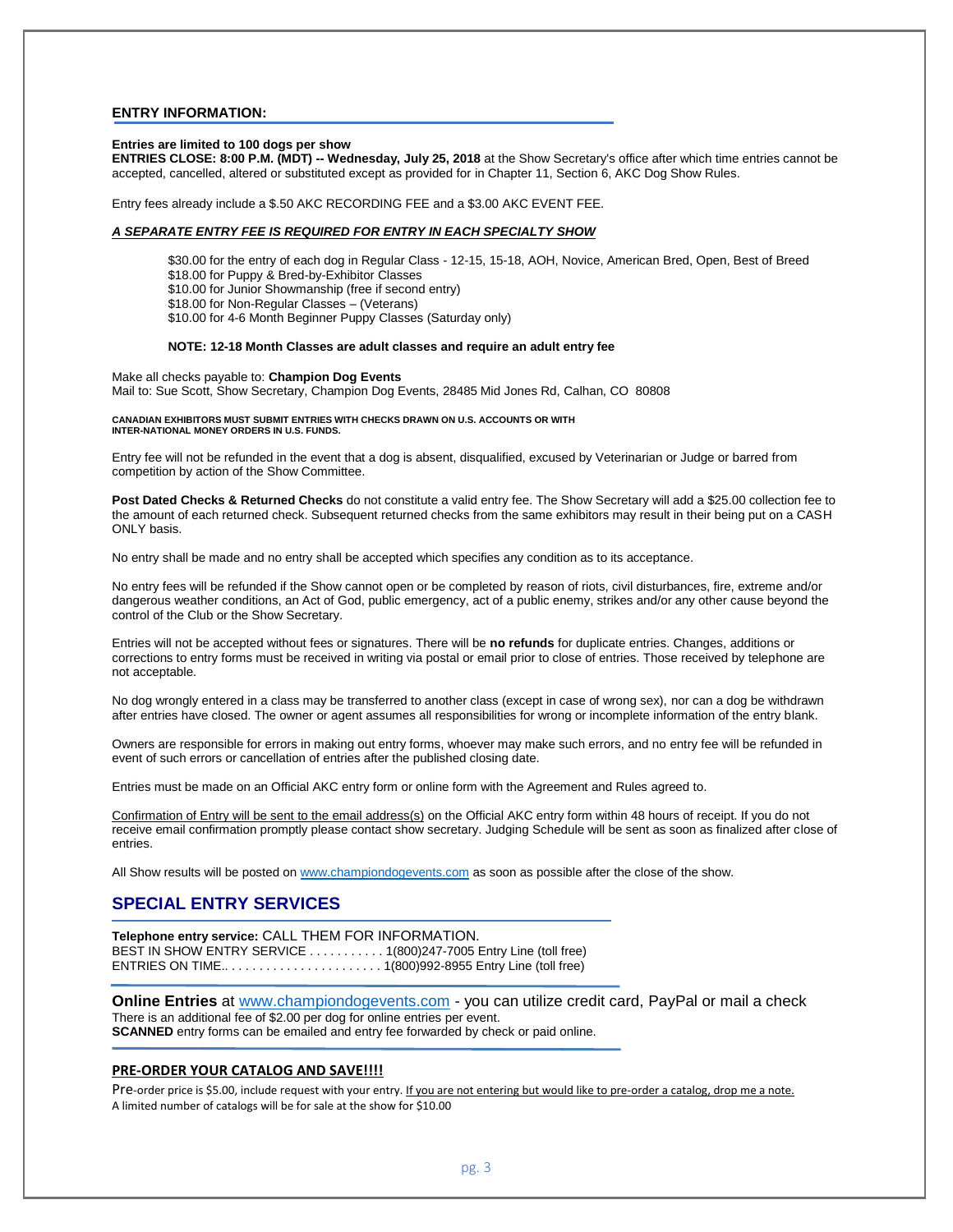#### **ENTRY INFORMATION:**

#### **Entries are limited to 100 dogs per show**

**ENTRIES CLOSE: 8:00 P.M. (MDT) -- Wednesday, July 25, 2018** at the Show Secretary's office after which time entries cannot be accepted, cancelled, altered or substituted except as provided for in Chapter 11, Section 6, AKC Dog Show Rules.

Entry fees already include a \$.50 AKC RECORDING FEE and a \$3.00 AKC EVENT FEE.

## *A SEPARATE ENTRY FEE IS REQUIRED FOR ENTRY IN EACH SPECIALTY SHOW*

\$30.00 for the entry of each dog in Regular Class - 12-15, 15-18, AOH, Novice, American Bred, Open, Best of Breed \$18.00 for Puppy & Bred-by-Exhibitor Classes \$10.00 for Junior Showmanship (free if second entry) \$18.00 for Non-Regular Classes – (Veterans) \$10.00 for 4-6 Month Beginner Puppy Classes (Saturday only)

#### **NOTE: 12-18 Month Classes are adult classes and require an adult entry fee**

Make all checks payable to: **Champion Dog Events** Mail to: Sue Scott, Show Secretary, Champion Dog Events, 28485 Mid Jones Rd, Calhan, CO 80808

#### **CANADIAN EXHIBITORS MUST SUBMIT ENTRIES WITH CHECKS DRAWN ON U.S. ACCOUNTS OR WITH INTER-NATIONAL MONEY ORDERS IN U.S. FUNDS.**

Entry fee will not be refunded in the event that a dog is absent, disqualified, excused by Veterinarian or Judge or barred from competition by action of the Show Committee.

**Post Dated Checks & Returned Checks** do not constitute a valid entry fee. The Show Secretary will add a \$25.00 collection fee to the amount of each returned check. Subsequent returned checks from the same exhibitors may result in their being put on a CASH ONLY basis.

No entry shall be made and no entry shall be accepted which specifies any condition as to its acceptance.

No entry fees will be refunded if the Show cannot open or be completed by reason of riots, civil disturbances, fire, extreme and/or dangerous weather conditions, an Act of God, public emergency, act of a public enemy, strikes and/or any other cause beyond the control of the Club or the Show Secretary.

Entries will not be accepted without fees or signatures. There will be **no refunds** for duplicate entries. Changes, additions or corrections to entry forms must be received in writing via postal or email prior to close of entries. Those received by telephone are not acceptable.

No dog wrongly entered in a class may be transferred to another class (except in case of wrong sex), nor can a dog be withdrawn after entries have closed. The owner or agent assumes all responsibilities for wrong or incomplete information of the entry blank.

Owners are responsible for errors in making out entry forms, whoever may make such errors, and no entry fee will be refunded in event of such errors or cancellation of entries after the published closing date.

Entries must be made on an Official AKC entry form or online form with the Agreement and Rules agreed to.

Confirmation of Entry will be sent to the email address(s) on the Official AKC entry form within 48 hours of receipt. If you do not receive email confirmation promptly please contact show secretary. Judging Schedule will be sent as soon as finalized after close of entries.

All Show results will be posted on [www.championdogevents.com](http://www.championdogevents.com/) as soon as possible after the close of the show.

# **SPECIAL ENTRY SERVICES**

**Telephone entry service:** CALL THEM FOR INFORMATION. BEST IN SHOW ENTRY SERVICE . . . . . . . . . . . 1(800)247-7005 Entry Line (toll free) ENTRIES ON TIME.. . . . . . . . . . . . . . . . . . . . . . . 1(800)992-8955 Entry Line (toll free)

**Online Entries** at [www.championdogevents.com](http://www.championdogevents.com/) - you can utilize credit card, PayPal or mail a check There is an additional fee of \$2.00 per dog for online entries per event. **SCANNED** entry forms can be emailed and entry fee forwarded by check or paid online.

#### **PRE-ORDER YOUR CATALOG AND SAVE!!!!**

Pre-order price is \$5.00, include request with your entry. If you are not entering but would like to pre-order a catalog, drop me a note. A limited number of catalogs will be for sale at the show for \$10.00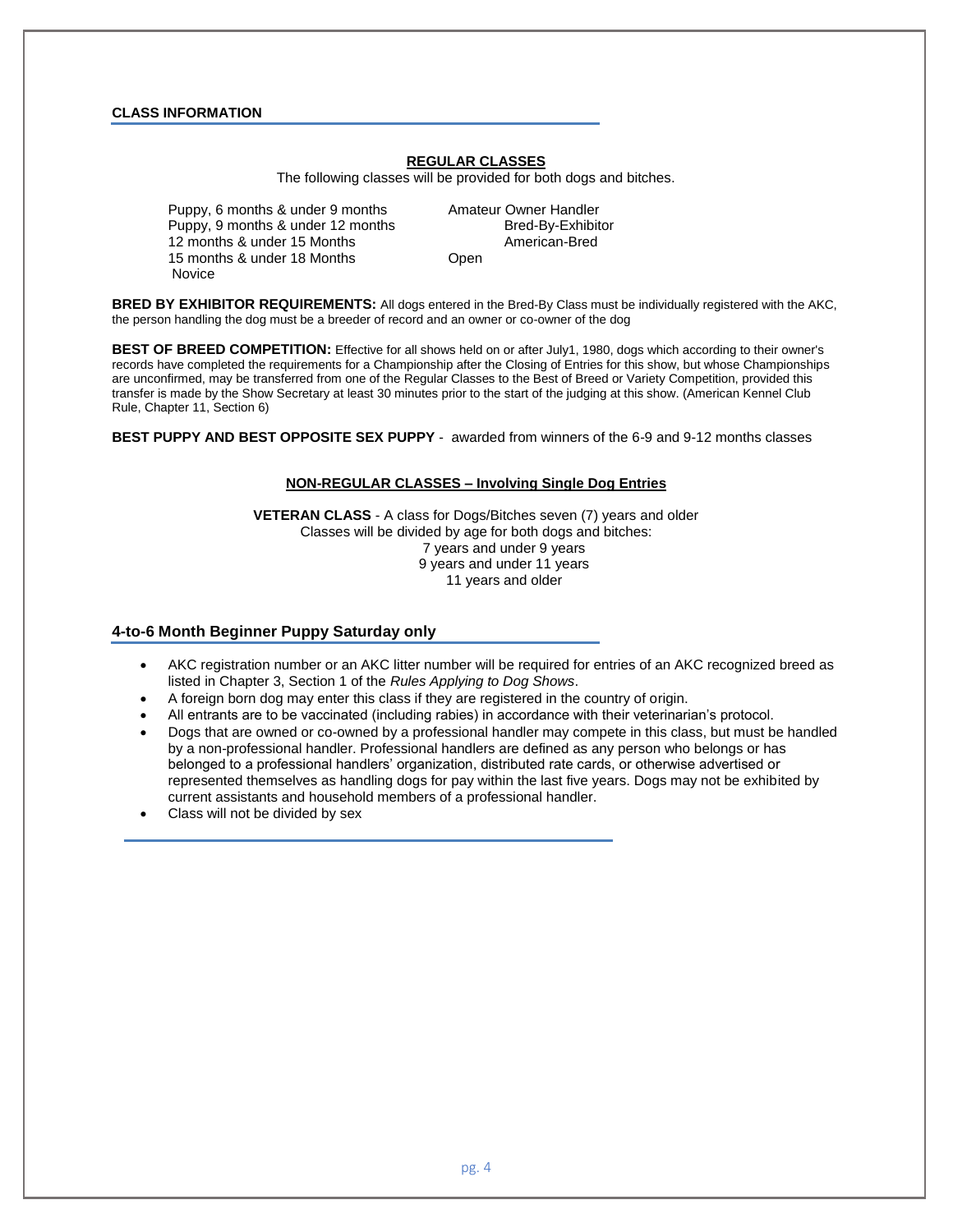# **CLASS INFORMATION**

# **REGULAR CLASSES**

The following classes will be provided for both dogs and bitches.

Puppy, 6 months & under 9 months Amateur Owner Handler Puppy, 9 months & under 12 months Bred-By-Exhibitor 12 months & under 15 Months American-Bred 15 months & under 18 Months Open **Novice** 

**BRED BY EXHIBITOR REQUIREMENTS:** All dogs entered in the Bred-By Class must be individually registered with the AKC. the person handling the dog must be a breeder of record and an owner or co-owner of the dog

**BEST OF BREED COMPETITION:** Effective for all shows held on or after July1, 1980, dogs which according to their owner's records have completed the requirements for a Championship after the Closing of Entries for this show, but whose Championships are unconfirmed, may be transferred from one of the Regular Classes to the Best of Breed or Variety Competition, provided this transfer is made by the Show Secretary at least 30 minutes prior to the start of the judging at this show. (American Kennel Club Rule, Chapter 11, Section 6)

**BEST PUPPY AND BEST OPPOSITE SEX PUPPY** - awarded from winners of the 6-9 and 9-12 months classes

# **NON-REGULAR CLASSES – Involving Single Dog Entries**

**VETERAN CLASS** - A class for Dogs/Bitches seven (7) years and older Classes will be divided by age for both dogs and bitches: 7 years and under 9 years 9 years and under 11 years 11 years and older

# **4-to-6 Month Beginner Puppy Saturday only**

- AKC registration number or an AKC litter number will be required for entries of an AKC recognized breed as listed in Chapter 3, Section 1 of the *Rules Applying to Dog Shows*.
- A foreign born dog may enter this class if they are registered in the country of origin.
- All entrants are to be vaccinated (including rabies) in accordance with their veterinarian's protocol.
- Dogs that are owned or co-owned by a professional handler may compete in this class, but must be handled by a non-professional handler. Professional handlers are defined as any person who belongs or has belonged to a professional handlers' organization, distributed rate cards, or otherwise advertised or represented themselves as handling dogs for pay within the last five years. Dogs may not be exhibited by current assistants and household members of a professional handler.
- Class will not be divided by sex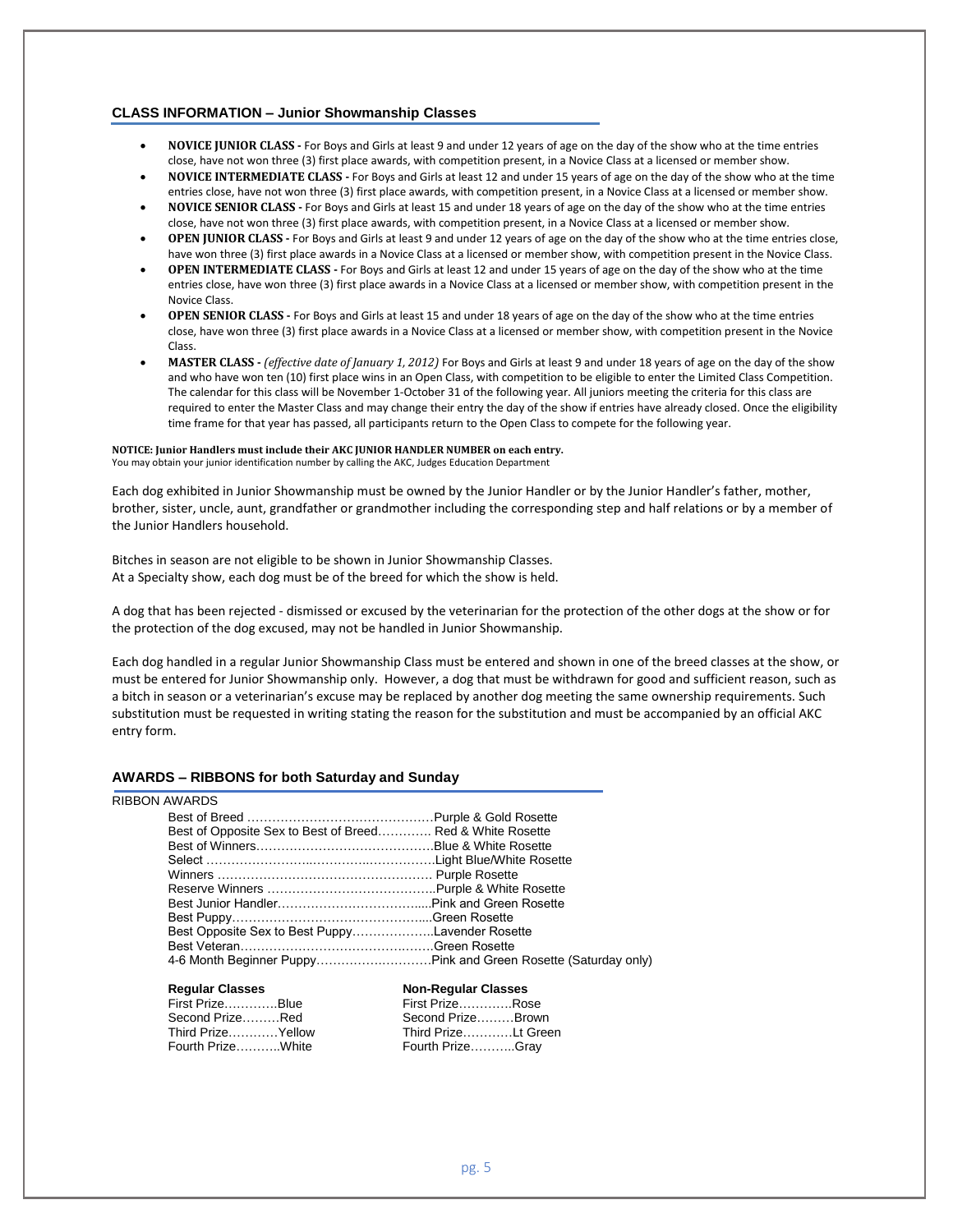#### **CLASS INFORMATION – Junior Showmanship Classes**

- **NOVICE JUNIOR CLASS -** For Boys and Girls at least 9 and under 12 years of age on the day of the show who at the time entries close, have not won three (3) first place awards, with competition present, in a Novice Class at a licensed or member show.
- **NOVICE INTERMEDIATE CLASS -** For Boys and Girls at least 12 and under 15 years of age on the day of the show who at the time entries close, have not won three (3) first place awards, with competition present, in a Novice Class at a licensed or member show.
- **NOVICE SENIOR CLASS -** For Boys and Girls at least 15 and under 18 years of age on the day of the show who at the time entries close, have not won three (3) first place awards, with competition present, in a Novice Class at a licensed or member show.
- **OPEN JUNIOR CLASS -** For Boys and Girls at least 9 and under 12 years of age on the day of the show who at the time entries close, have won three (3) first place awards in a Novice Class at a licensed or member show, with competition present in the Novice Class.
- **OPEN INTERMEDIATE CLASS -** For Boys and Girls at least 12 and under 15 years of age on the day of the show who at the time entries close, have won three (3) first place awards in a Novice Class at a licensed or member show, with competition present in the Novice Class.
- **OPEN SENIOR CLASS -** For Boys and Girls at least 15 and under 18 years of age on the day of the show who at the time entries close, have won three (3) first place awards in a Novice Class at a licensed or member show, with competition present in the Novice Class.
- **MASTER CLASS -** *(effective date of January 1, 2012)* For Boys and Girls at least 9 and under 18 years of age on the day of the show and who have won ten (10) first place wins in an Open Class, with competition to be eligible to enter the Limited Class Competition. The calendar for this class will be November 1-October 31 of the following year. All juniors meeting the criteria for this class are required to enter the Master Class and may change their entry the day of the show if entries have already closed. Once the eligibility time frame for that year has passed, all participants return to the Open Class to compete for the following year.

#### **NOTICE: Junior Handlers must include their AKC JUNIOR HANDLER NUMBER on each entry.**

You may obtain your junior identification number by calling the AKC, Judges Education Department

Each dog exhibited in Junior Showmanship must be owned by the Junior Handler or by the Junior Handler's father, mother, brother, sister, uncle, aunt, grandfather or grandmother including the corresponding step and half relations or by a member of the Junior Handlers household.

Bitches in season are not eligible to be shown in Junior Showmanship Classes. At a Specialty show, each dog must be of the breed for which the show is held.

A dog that has been rejected - dismissed or excused by the veterinarian for the protection of the other dogs at the show or for the protection of the dog excused, may not be handled in Junior Showmanship.

Each dog handled in a regular Junior Showmanship Class must be entered and shown in one of the breed classes at the show, or must be entered for Junior Showmanship only. However, a dog that must be withdrawn for good and sufficient reason, such as a bitch in season or a veterinarian's excuse may be replaced by another dog meeting the same ownership requirements. Such substitution must be requested in writing stating the reason for the substitution and must be accompanied by an official AKC entry form.

#### **AWARDS – RIBBONS for both Saturday and Sunday**

# RIBBON AWARDS

| טש השאראיי                                                |  |
|-----------------------------------------------------------|--|
|                                                           |  |
| Best of Opposite Sex to Best of Breed Red & White Rosette |  |
|                                                           |  |
|                                                           |  |
|                                                           |  |
|                                                           |  |
|                                                           |  |
|                                                           |  |
| Best Opposite Sex to Best PuppyLavender Rosette           |  |
|                                                           |  |
|                                                           |  |
|                                                           |  |

#### **Regular Classes Non-Regular Classes** First Prize………….Blue Second Prize………Red

| First PrizeBlue   | First PrizeRose     |  |
|-------------------|---------------------|--|
| Second PrizeRed   | Second PrizeBrown   |  |
| Third PrizeYellow | Third PrizeLt Green |  |
| Fourth PrizeWhite | Fourth PrizeGray    |  |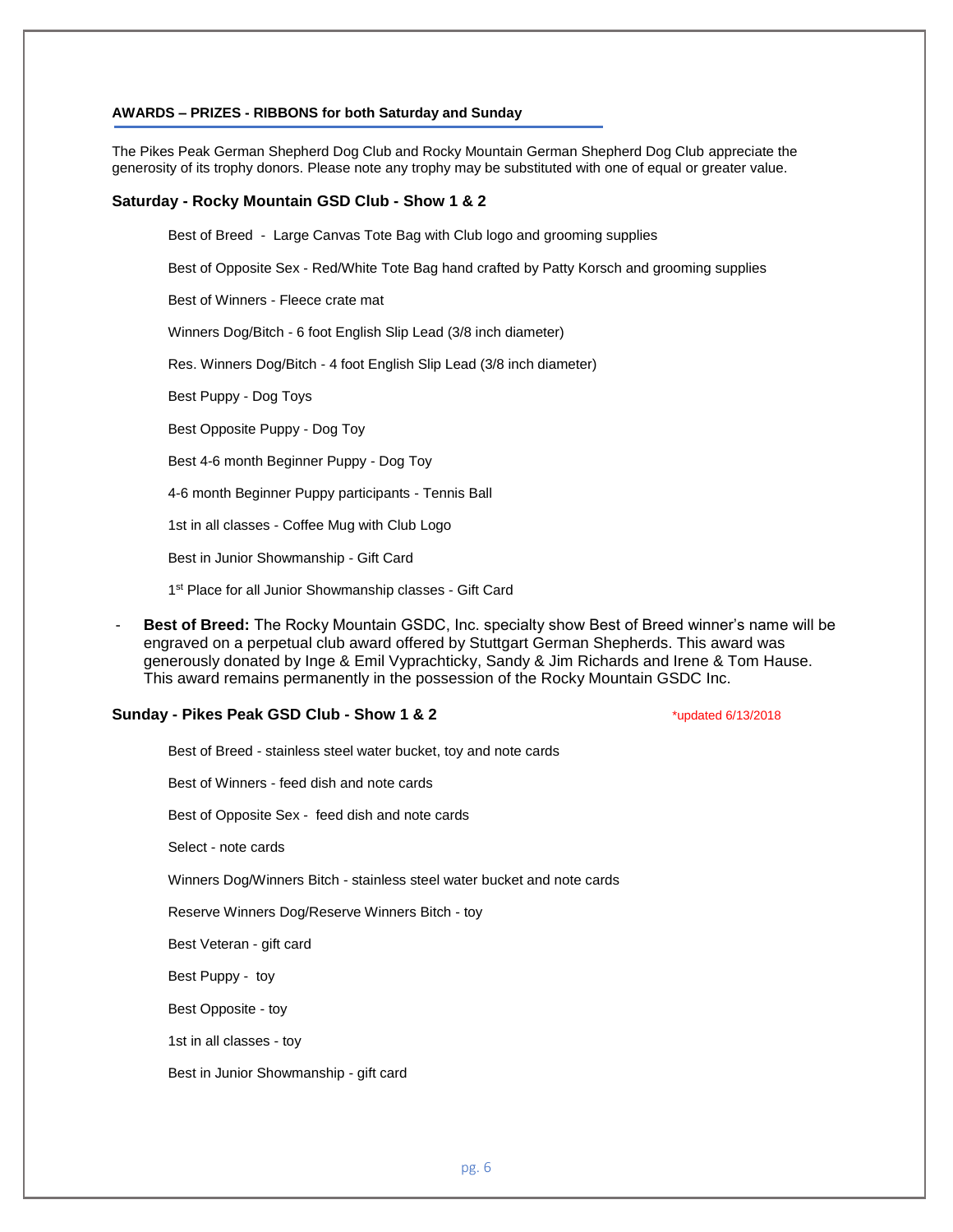### **AWARDS – PRIZES - RIBBONS for both Saturday and Sunday**

The Pikes Peak German Shepherd Dog Club and Rocky Mountain German Shepherd Dog Club appreciate the generosity of its trophy donors. Please note any trophy may be substituted with one of equal or greater value.

# **Saturday - Rocky Mountain GSD Club - Show 1 & 2**

Best of Breed - Large Canvas Tote Bag with Club logo and grooming supplies

Best of Opposite Sex - Red/White Tote Bag hand crafted by Patty Korsch and grooming supplies

Best of Winners - Fleece crate mat

Winners Dog/Bitch - 6 foot English Slip Lead (3/8 inch diameter)

Res. Winners Dog/Bitch - 4 foot English Slip Lead (3/8 inch diameter)

Best Puppy - Dog Toys

Best Opposite Puppy - Dog Toy

Best 4-6 month Beginner Puppy - Dog Toy

4-6 month Beginner Puppy participants - Tennis Ball

1st in all classes - Coffee Mug with Club Logo

Best in Junior Showmanship - Gift Card

1<sup>st</sup> Place for all Junior Showmanship classes - Gift Card

- **Best of Breed:** The Rocky Mountain GSDC, Inc. specialty show Best of Breed winner's name will be engraved on a perpetual club award offered by Stuttgart German Shepherds. This award was generously donated by Inge & Emil Vyprachticky, Sandy & Jim Richards and Irene & Tom Hause. This award remains permanently in the possession of the Rocky Mountain GSDC Inc.

# **Sunday - Pikes Peak GSD Club - Show 1 & 2** \*updated 6/13/2018

Best of Breed - stainless steel water bucket, toy and note cards Best of Winners - feed dish and note cards Best of Opposite Sex - feed dish and note cards Select - note cards Winners Dog/Winners Bitch - stainless steel water bucket and note cards Reserve Winners Dog/Reserve Winners Bitch - toy Best Veteran - gift card Best Puppy - toy Best Opposite - toy 1st in all classes - toy Best in Junior Showmanship - gift card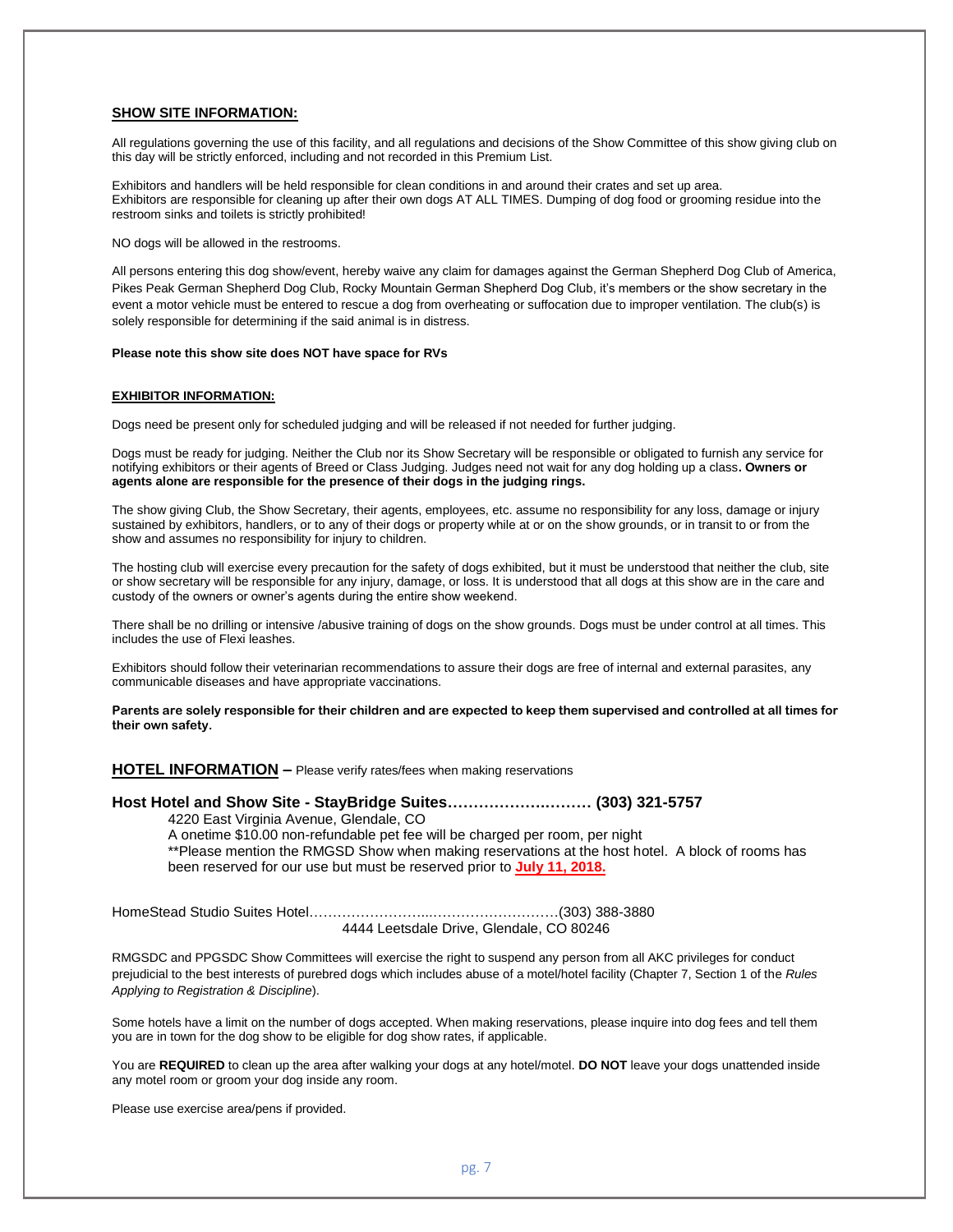#### **SHOW SITE INFORMATION:**

All regulations governing the use of this facility, and all regulations and decisions of the Show Committee of this show giving club on this day will be strictly enforced, including and not recorded in this Premium List.

Exhibitors and handlers will be held responsible for clean conditions in and around their crates and set up area. Exhibitors are responsible for cleaning up after their own dogs AT ALL TIMES. Dumping of dog food or grooming residue into the restroom sinks and toilets is strictly prohibited!

NO dogs will be allowed in the restrooms.

All persons entering this dog show/event, hereby waive any claim for damages against the German Shepherd Dog Club of America, Pikes Peak German Shepherd Dog Club, Rocky Mountain German Shepherd Dog Club, it's members or the show secretary in the event a motor vehicle must be entered to rescue a dog from overheating or suffocation due to improper ventilation. The club(s) is solely responsible for determining if the said animal is in distress.

#### **Please note this show site does NOT have space for RVs**

#### **EXHIBITOR INFORMATION:**

Dogs need be present only for scheduled judging and will be released if not needed for further judging.

Dogs must be ready for judging. Neither the Club nor its Show Secretary will be responsible or obligated to furnish any service for notifying exhibitors or their agents of Breed or Class Judging. Judges need not wait for any dog holding up a class**. Owners or agents alone are responsible for the presence of their dogs in the judging rings.**

The show giving Club, the Show Secretary, their agents, employees, etc. assume no responsibility for any loss, damage or injury sustained by exhibitors, handlers, or to any of their dogs or property while at or on the show grounds, or in transit to or from the show and assumes no responsibility for injury to children.

The hosting club will exercise every precaution for the safety of dogs exhibited, but it must be understood that neither the club, site or show secretary will be responsible for any injury, damage, or loss. It is understood that all dogs at this show are in the care and custody of the owners or owner's agents during the entire show weekend.

There shall be no drilling or intensive /abusive training of dogs on the show grounds. Dogs must be under control at all times. This includes the use of Flexi leashes.

Exhibitors should follow their veterinarian recommendations to assure their dogs are free of internal and external parasites, any communicable diseases and have appropriate vaccinations.

**Parents are solely responsible for their children and are expected to keep them supervised and controlled at all times for their own safety.**

**HOTEL INFORMATION –** Please verify rates/fees when making reservations

**Host Hotel and Show Site - StayBridge Suites……………….……… (303) 321-5757**

4220 East Virginia Avenue, Glendale, CO

A onetime \$10.00 non-refundable pet fee will be charged per room, per night \*\*Please mention the RMGSD Show when making reservations at the host hotel. A block of rooms has been reserved for our use but must be reserved prior to **July 11, 2018.**

HomeStead Studio Suites Hotel……………………...………………………(303) 388-3880 4444 Leetsdale Drive, Glendale, CO 80246

RMGSDC and PPGSDC Show Committees will exercise the right to suspend any person from all AKC privileges for conduct prejudicial to the best interests of purebred dogs which includes abuse of a motel/hotel facility (Chapter 7, Section 1 of the *Rules Applying to Registration & Discipline*).

Some hotels have a limit on the number of dogs accepted. When making reservations, please inquire into dog fees and tell them you are in town for the dog show to be eligible for dog show rates, if applicable.

You are **REQUIRED** to clean up the area after walking your dogs at any hotel/motel. **DO NOT** leave your dogs unattended inside any motel room or groom your dog inside any room.

Please use exercise area/pens if provided.